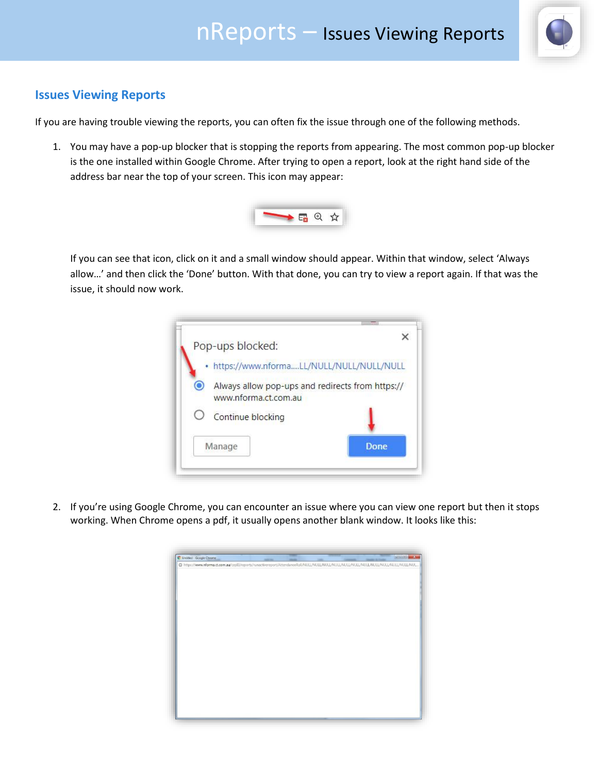

## **Issues Viewing Reports**

If you are having trouble viewing the reports, you can often fix the issue through one of the following methods.

1. You may have a pop-up blocker that is stopping the reports from appearing. The most common pop-up blocker is the one installed within Google Chrome. After trying to open a report, look at the right hand side of the address bar near the top of your screen. This icon may appear:



If you can see that icon, click on it and a small window should appear. Within that window, select 'Always allow…' and then click the 'Done' button. With that done, you can try to view a report again. If that was the issue, it should now work.



2. If you're using Google Chrome, you can encounter an issue where you can view one report but then it stops working. When Chrome opens a pdf, it usually opens another blank window. It looks like this: